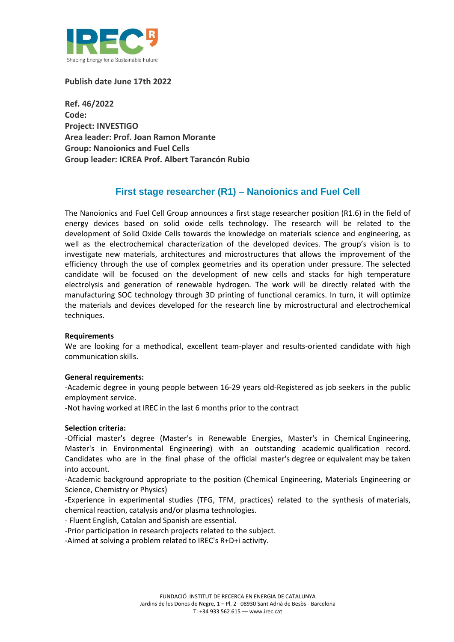

**Publish date June 17th 2022**

**Ref. 46/2022 Code: Project: INVESTIGO Area leader: Prof. Joan Ramon Morante Group: Nanoionics and Fuel Cells Group leader: ICREA Prof. Albert Tarancón Rubio**

## **First stage researcher (R1) – Nanoionics and Fuel Cell**

The Nanoionics and Fuel Cell Group announces a first stage researcher position (R1.6) in the field of energy devices based on solid oxide cells technology. The research will be related to the development of Solid Oxide Cells towards the knowledge on materials science and engineering, as well as the electrochemical characterization of the developed devices. The group's vision is to investigate new materials, architectures and microstructures that allows the improvement of the efficiency through the use of complex geometries and its operation under pressure. The selected candidate will be focused on the development of new cells and stacks for high temperature electrolysis and generation of renewable hydrogen. The work will be directly related with the manufacturing SOC technology through 3D printing of functional ceramics. In turn, it will optimize the materials and devices developed for the research line by microstructural and electrochemical techniques.

## **Requirements**

We are looking for a methodical, excellent team-player and results-oriented candidate with high communication skills.

## **General requirements:**

-Academic degree in young people between 16-29 years old-Registered as job seekers in the public employment service.

-Not having worked at IREC in the last 6 months prior to the contract

## **Selection criteria:**

-Official master's degree (Master's in Renewable Energies, Master's in Chemical Engineering, Master's in Environmental Engineering) with an outstanding academic qualification record. Candidates who are in the final phase of the official master's degree or equivalent may be taken into account.

-Academic background appropriate to the position (Chemical Engineering, Materials Engineering or Science, Chemistry or Physics)

-Experience in experimental studies (TFG, TFM, practices) related to the synthesis of materials, chemical reaction, catalysis and/or plasma technologies.

- Fluent English, Catalan and Spanish are essential.

-Prior participation in research projects related to the subject.

-Aimed at solving a problem related to IREC's R+D+i activity.